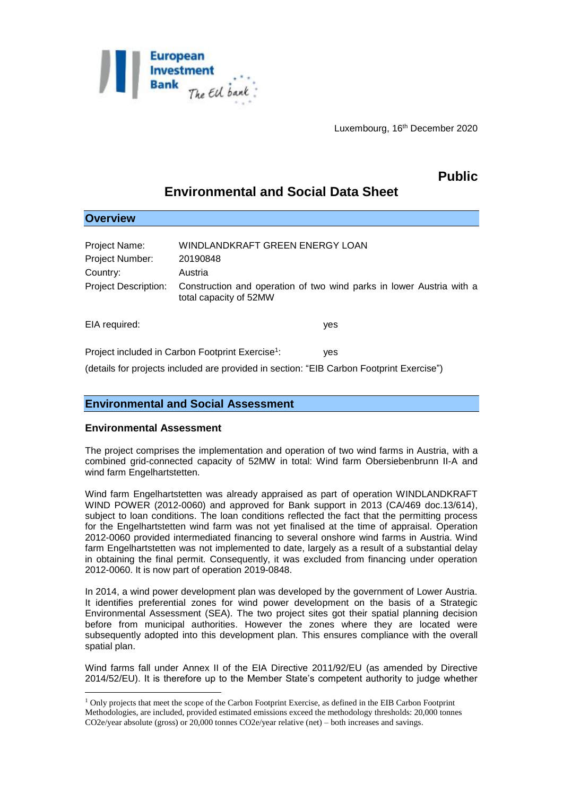

# **Public**

# **Environmental and Social Data Sheet**

| <b>Overview</b>                                                                          |                                 |                                                                      |
|------------------------------------------------------------------------------------------|---------------------------------|----------------------------------------------------------------------|
| <b>Project Name:</b>                                                                     | WINDLANDKRAFT GREEN ENERGY LOAN |                                                                      |
| <b>Project Number:</b>                                                                   | 20190848                        |                                                                      |
| Country:                                                                                 | Austria                         |                                                                      |
| <b>Project Description:</b>                                                              | total capacity of 52MW          | Construction and operation of two wind parks in lower Austria with a |
| EIA required:                                                                            |                                 | yes                                                                  |
| Project included in Carbon Footprint Exercise <sup>1</sup> :                             |                                 | <b>ves</b>                                                           |
| (details for projects included are provided in section: "EIB Carbon Footprint Exercise") |                                 |                                                                      |

# **Environmental and Social Assessment**

## **Environmental Assessment**

1

The project comprises the implementation and operation of two wind farms in Austria, with a combined grid-connected capacity of 52MW in total: Wind farm Obersiebenbrunn II-A and wind farm Engelhartstetten.

Wind farm Engelhartstetten was already appraised as part of operation WINDLANDKRAFT WIND POWER (2012-0060) and approved for Bank support in 2013 (CA/469 doc.13/614), subject to loan conditions. The loan conditions reflected the fact that the permitting process for the Engelhartstetten wind farm was not yet finalised at the time of appraisal. Operation 2012-0060 provided intermediated financing to several onshore wind farms in Austria. Wind farm Engelhartstetten was not implemented to date, largely as a result of a substantial delay in obtaining the final permit. Consequently, it was excluded from financing under operation 2012-0060. It is now part of operation 2019-0848.

In 2014, a wind power development plan was developed by the government of Lower Austria. It identifies preferential zones for wind power development on the basis of a Strategic Environmental Assessment (SEA). The two project sites got their spatial planning decision before from municipal authorities. However the zones where they are located were subsequently adopted into this development plan. This ensures compliance with the overall spatial plan.

Wind farms fall under Annex II of the EIA Directive 2011/92/EU (as amended by Directive 2014/52/EU). It is therefore up to the Member State's competent authority to judge whether

<sup>1</sup> Only projects that meet the scope of the Carbon Footprint Exercise, as defined in the EIB Carbon Footprint Methodologies, are included, provided estimated emissions exceed the methodology thresholds: 20,000 tonnes CO2e/year absolute (gross) or 20,000 tonnes CO2e/year relative (net) – both increases and savings.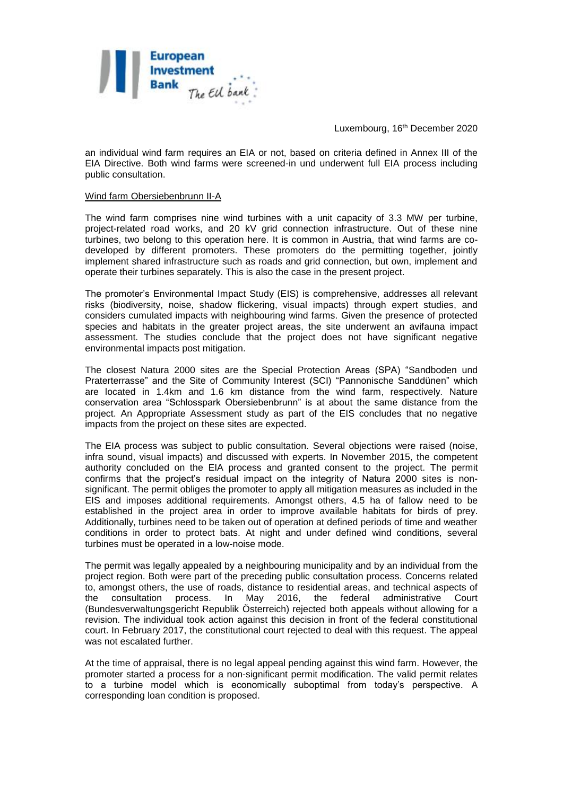

an individual wind farm requires an EIA or not, based on criteria defined in Annex III of the EIA Directive. Both wind farms were screened-in und underwent full EIA process including public consultation.

#### Wind farm Obersiebenbrunn II-A

The wind farm comprises nine wind turbines with a unit capacity of 3.3 MW per turbine, project-related road works, and 20 kV grid connection infrastructure. Out of these nine turbines, two belong to this operation here. It is common in Austria, that wind farms are codeveloped by different promoters. These promoters do the permitting together, jointly implement shared infrastructure such as roads and grid connection, but own, implement and operate their turbines separately. This is also the case in the present project.

The promoter's Environmental Impact Study (EIS) is comprehensive, addresses all relevant risks (biodiversity, noise, shadow flickering, visual impacts) through expert studies, and considers cumulated impacts with neighbouring wind farms. Given the presence of protected species and habitats in the greater project areas, the site underwent an avifauna impact assessment. The studies conclude that the project does not have significant negative environmental impacts post mitigation.

The closest Natura 2000 sites are the Special Protection Areas (SPA) "Sandboden und Praterterrasse" and the Site of Community Interest (SCI) "Pannonische Sanddünen" which are located in 1.4km and 1.6 km distance from the wind farm, respectively. Nature conservation area "Schlosspark Obersiebenbrunn" is at about the same distance from the project. An Appropriate Assessment study as part of the EIS concludes that no negative impacts from the project on these sites are expected.

The EIA process was subject to public consultation. Several objections were raised (noise, infra sound, visual impacts) and discussed with experts. In November 2015, the competent authority concluded on the EIA process and granted consent to the project. The permit confirms that the project's residual impact on the integrity of Natura 2000 sites is nonsignificant. The permit obliges the promoter to apply all mitigation measures as included in the EIS and imposes additional requirements. Amongst others, 4.5 ha of fallow need to be established in the project area in order to improve available habitats for birds of prey. Additionally, turbines need to be taken out of operation at defined periods of time and weather conditions in order to protect bats. At night and under defined wind conditions, several turbines must be operated in a low-noise mode.

The permit was legally appealed by a neighbouring municipality and by an individual from the project region. Both were part of the preceding public consultation process. Concerns related to, amongst others, the use of roads, distance to residential areas, and technical aspects of the consultation process. In May 2016, the federal administrative Court the consultation process. In May 2016, the federal administrative Court (Bundesverwaltungsgericht Republik Österreich) rejected both appeals without allowing for a revision. The individual took action against this decision in front of the federal constitutional court. In February 2017, the constitutional court rejected to deal with this request. The appeal was not escalated further.

At the time of appraisal, there is no legal appeal pending against this wind farm. However, the promoter started a process for a non-significant permit modification. The valid permit relates to a turbine model which is economically suboptimal from today's perspective. A corresponding loan condition is proposed.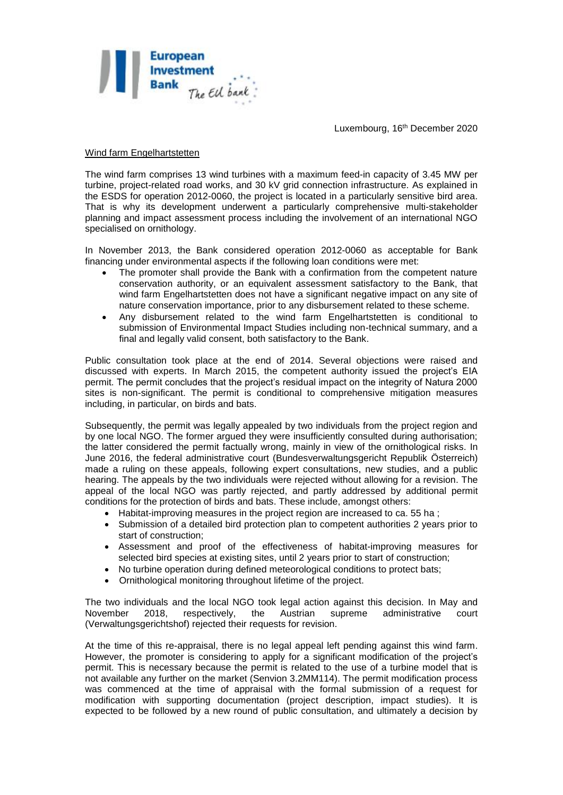

#### Wind farm Engelhartstetten

The wind farm comprises 13 wind turbines with a maximum feed-in capacity of 3.45 MW per turbine, project-related road works, and 30 kV grid connection infrastructure. As explained in the ESDS for operation 2012-0060, the project is located in a particularly sensitive bird area. That is why its development underwent a particularly comprehensive multi-stakeholder planning and impact assessment process including the involvement of an international NGO specialised on ornithology.

In November 2013, the Bank considered operation 2012-0060 as acceptable for Bank financing under environmental aspects if the following loan conditions were met:

- The promoter shall provide the Bank with a confirmation from the competent nature conservation authority, or an equivalent assessment satisfactory to the Bank, that wind farm Engelhartstetten does not have a significant negative impact on any site of nature conservation importance, prior to any disbursement related to these scheme.
- Any disbursement related to the wind farm Engelhartstetten is conditional to submission of Environmental Impact Studies including non-technical summary, and a final and legally valid consent, both satisfactory to the Bank.

Public consultation took place at the end of 2014. Several objections were raised and discussed with experts. In March 2015, the competent authority issued the project's EIA permit. The permit concludes that the project's residual impact on the integrity of Natura 2000 sites is non-significant. The permit is conditional to comprehensive mitigation measures including, in particular, on birds and bats.

Subsequently, the permit was legally appealed by two individuals from the project region and by one local NGO. The former argued they were insufficiently consulted during authorisation; the latter considered the permit factually wrong, mainly in view of the ornithological risks. In June 2016, the federal administrative court (Bundesverwaltungsgericht Republik Österreich) made a ruling on these appeals, following expert consultations, new studies, and a public hearing. The appeals by the two individuals were rejected without allowing for a revision. The appeal of the local NGO was partly rejected, and partly addressed by additional permit conditions for the protection of birds and bats. These include, amongst others:

- Habitat-improving measures in the project region are increased to ca. 55 ha :
- Submission of a detailed bird protection plan to competent authorities 2 years prior to start of construction;
- Assessment and proof of the effectiveness of habitat-improving measures for selected bird species at existing sites, until 2 years prior to start of construction;
- No turbine operation during defined meteorological conditions to protect bats;
- Ornithological monitoring throughout lifetime of the project.

The two individuals and the local NGO took legal action against this decision. In May and November 2018, respectively, the Austrian supreme administrative court (Verwaltungsgerichtshof) rejected their requests for revision.

At the time of this re-appraisal, there is no legal appeal left pending against this wind farm. However, the promoter is considering to apply for a significant modification of the project's permit. This is necessary because the permit is related to the use of a turbine model that is not available any further on the market (Senvion 3.2MM114). The permit modification process was commenced at the time of appraisal with the formal submission of a request for modification with supporting documentation (project description, impact studies). It is expected to be followed by a new round of public consultation, and ultimately a decision by